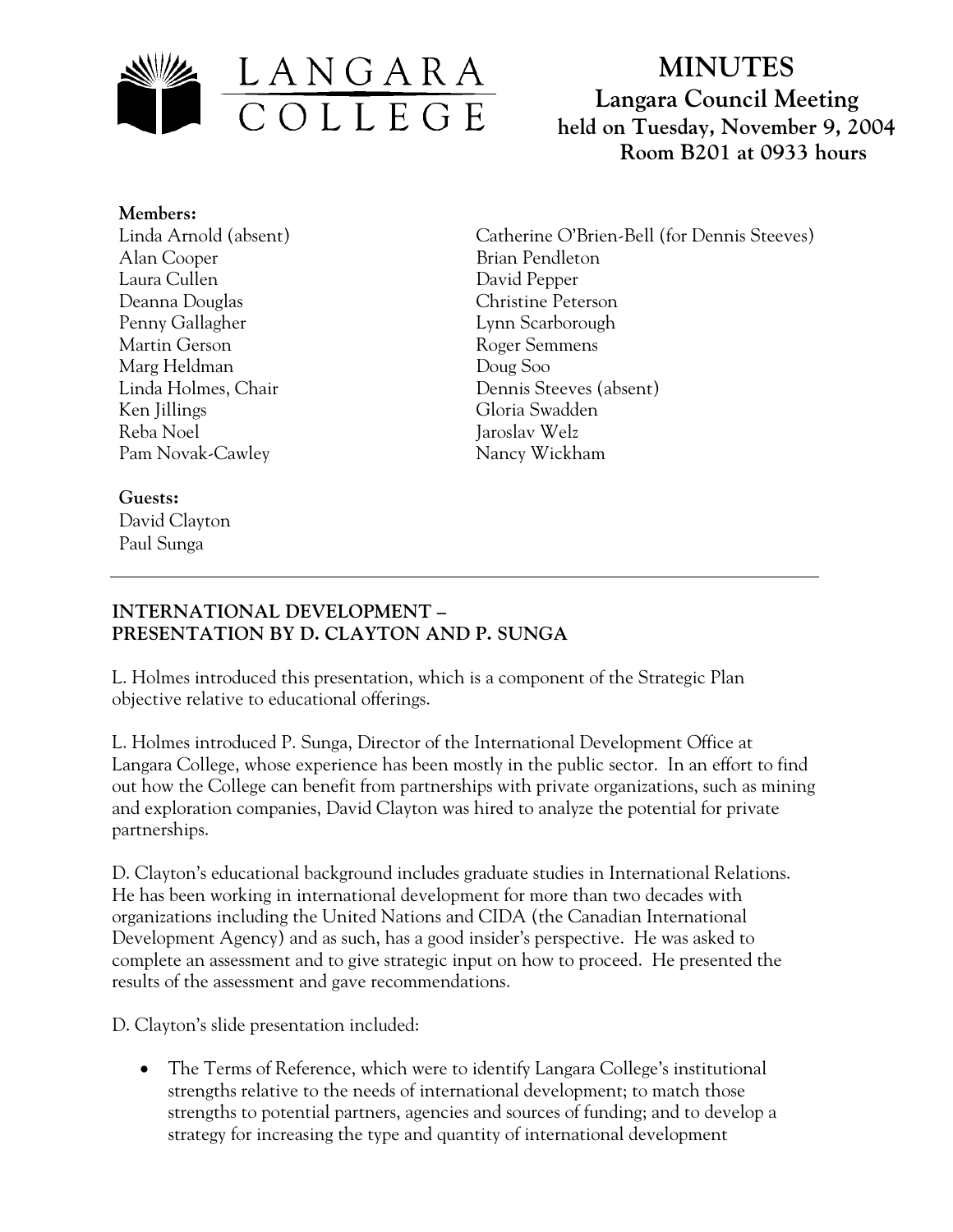

# **MINUTES Langara Council Meeting held on Tuesday, November 9, 2004 Room B201 at 0933 hours**

**Members:** Linda Arnold (absent) Alan Cooper Laura Cullen Deanna Douglas Penny Gallagher Martin Gerson Marg Heldman Linda Holmes, Chair Ken Jillings Reba Noel Pam Novak-Cawley

Catherine O'Brien-Bell (for Dennis Steeves) Brian Pendleton David Pepper Christine Peterson Lynn Scarborough Roger Semmens Doug Soo Dennis Steeves (absent) Gloria Swadden Jaroslav Welz Nancy Wickham

## **Guests:**

David Clayton Paul Sunga

### **INTERNATIONAL DEVELOPMENT – PRESENTATION BY D. CLAYTON AND P. SUNGA**

L. Holmes introduced this presentation, which is a component of the Strategic Plan objective relative to educational offerings.

L. Holmes introduced P. Sunga, Director of the International Development Office at Langara College, whose experience has been mostly in the public sector. In an effort to find out how the College can benefit from partnerships with private organizations, such as mining and exploration companies, David Clayton was hired to analyze the potential for private partnerships.

D. Clayton's educational background includes graduate studies in International Relations. He has been working in international development for more than two decades with organizations including the United Nations and CIDA (the Canadian International Development Agency) and as such, has a good insider's perspective. He was asked to complete an assessment and to give strategic input on how to proceed. He presented the results of the assessment and gave recommendations.

D. Clayton's slide presentation included:

• The Terms of Reference, which were to identify Langara College's institutional strengths relative to the needs of international development; to match those strengths to potential partners, agencies and sources of funding; and to develop a strategy for increasing the type and quantity of international development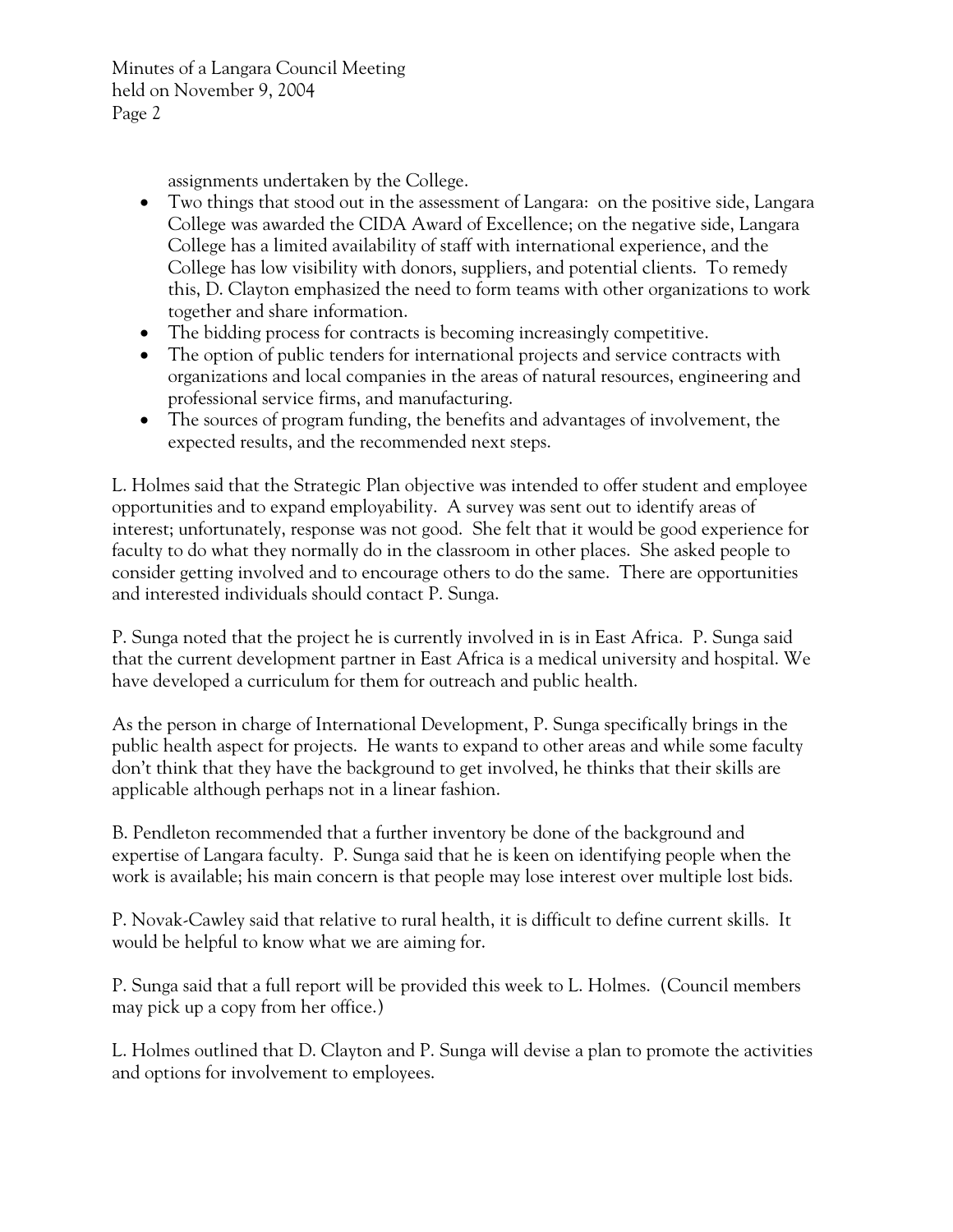Minutes of a Langara Council Meeting held on November 9, 2004 Page 2

assignments undertaken by the College.

- Two things that stood out in the assessment of Langara: on the positive side, Langara College was awarded the CIDA Award of Excellence; on the negative side, Langara College has a limited availability of staff with international experience, and the College has low visibility with donors, suppliers, and potential clients. To remedy this, D. Clayton emphasized the need to form teams with other organizations to work together and share information.
- The bidding process for contracts is becoming increasingly competitive.
- The option of public tenders for international projects and service contracts with organizations and local companies in the areas of natural resources, engineering and professional service firms, and manufacturing.
- The sources of program funding, the benefits and advantages of involvement, the expected results, and the recommended next steps.

L. Holmes said that the Strategic Plan objective was intended to offer student and employee opportunities and to expand employability. A survey was sent out to identify areas of interest; unfortunately, response was not good. She felt that it would be good experience for faculty to do what they normally do in the classroom in other places. She asked people to consider getting involved and to encourage others to do the same. There are opportunities and interested individuals should contact P. Sunga.

P. Sunga noted that the project he is currently involved in is in East Africa. P. Sunga said that the current development partner in East Africa is a medical university and hospital. We have developed a curriculum for them for outreach and public health.

As the person in charge of International Development, P. Sunga specifically brings in the public health aspect for projects. He wants to expand to other areas and while some faculty don't think that they have the background to get involved, he thinks that their skills are applicable although perhaps not in a linear fashion.

B. Pendleton recommended that a further inventory be done of the background and expertise of Langara faculty. P. Sunga said that he is keen on identifying people when the work is available; his main concern is that people may lose interest over multiple lost bids.

P. Novak-Cawley said that relative to rural health, it is difficult to define current skills. It would be helpful to know what we are aiming for.

P. Sunga said that a full report will be provided this week to L. Holmes. (Council members may pick up a copy from her office.)

L. Holmes outlined that D. Clayton and P. Sunga will devise a plan to promote the activities and options for involvement to employees.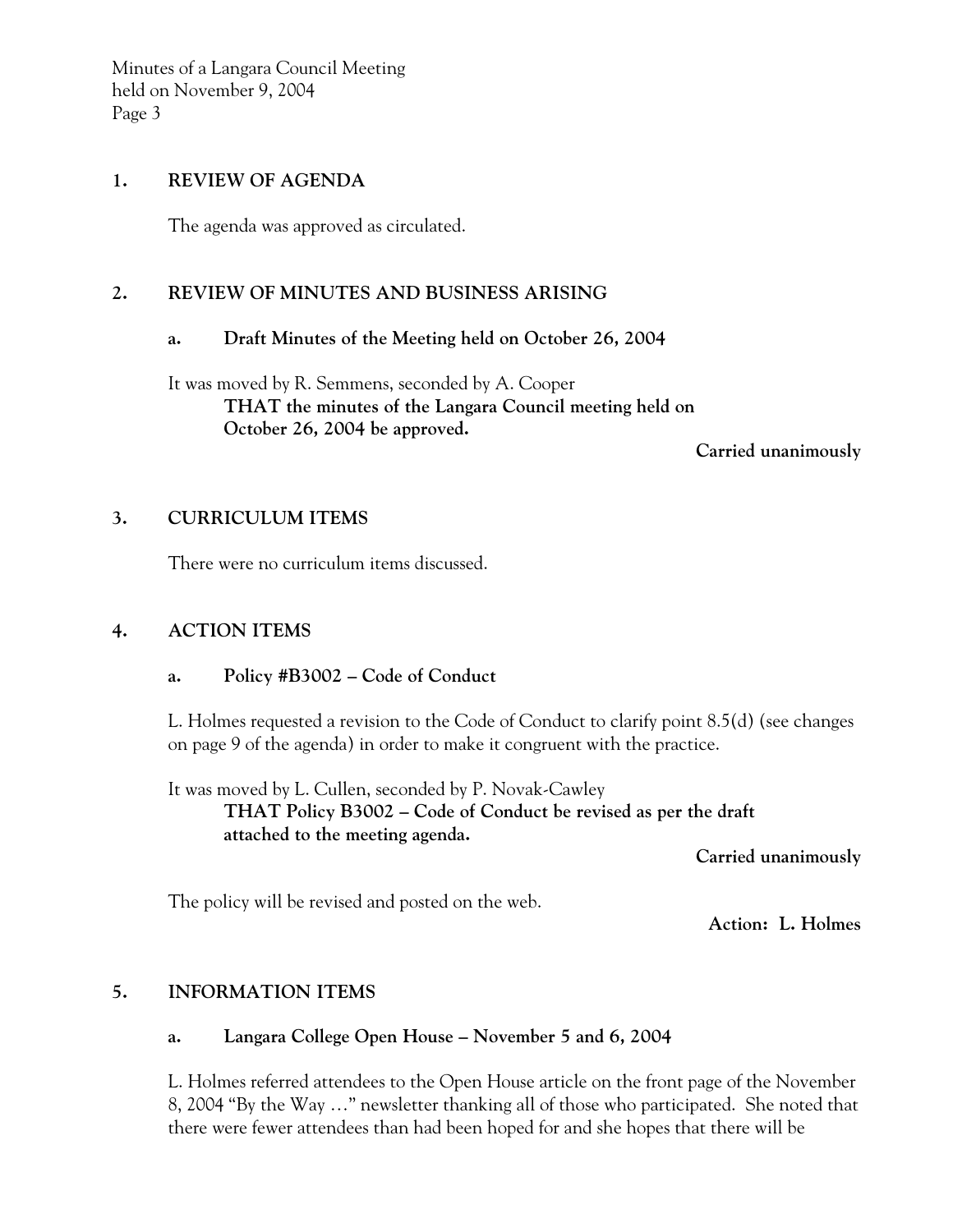Minutes of a Langara Council Meeting held on November 9, 2004 Page 3

#### **1. REVIEW OF AGENDA**

The agenda was approved as circulated.

#### **2. REVIEW OF MINUTES AND BUSINESS ARISING**

#### **a. Draft Minutes of the Meeting held on October 26, 2004**

It was moved by R. Semmens, seconded by A. Cooper **THAT the minutes of the Langara Council meeting held on October 26, 2004 be approved.** 

 **Carried unanimously** 

### **3. CURRICULUM ITEMS**

There were no curriculum items discussed.

### **4. ACTION ITEMS**

### **a. Policy #B3002 – Code of Conduct**

L. Holmes requested a revision to the Code of Conduct to clarify point 8.5(d) (see changes on page 9 of the agenda) in order to make it congruent with the practice.

It was moved by L. Cullen, seconded by P. Novak-Cawley **THAT Policy B3002 – Code of Conduct be revised as per the draft attached to the meeting agenda.** 

 **Carried unanimously** 

The policy will be revised and posted on the web.

**Action: L. Holmes**

### **5. INFORMATION ITEMS**

### **a. Langara College Open House – November 5 and 6, 2004**

L. Holmes referred attendees to the Open House article on the front page of the November 8, 2004 "By the Way …" newsletter thanking all of those who participated. She noted that there were fewer attendees than had been hoped for and she hopes that there will be